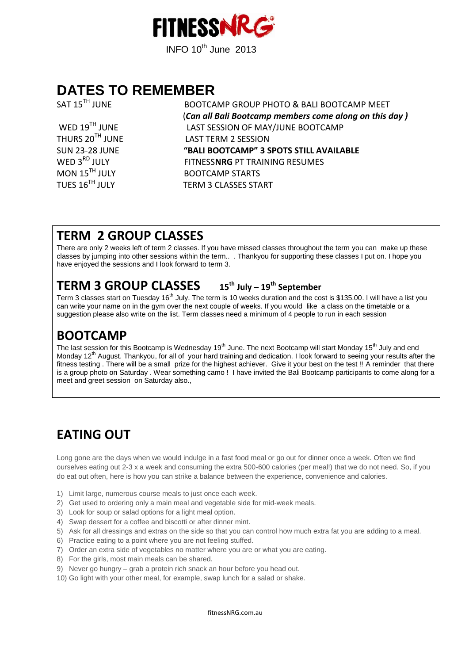

# **DATES TO REMEMBER**

SAT 15<sup>TH</sup> JUNE BOOTCAMP GROUP PHOTO & BALI BOOTCAMP MEET (*Can all Bali Bootcamp members come along on this day )* LAST SESSION OF MAY/JUNE BOOTCAMP THURS 20<sup>TH</sup> JUNE LAST TERM 2 SESSION SUN 23-28 JUNE **"BALI BOOTCAMP" 3 SPOTS STILL AVAILABLE** WED 3<sup>RD</sup> JULY FITNESS**NRG** PT TRAINING RESUMES<br>MON 15<sup>TH</sup> JULY BOOTCAMP STARTS BOOTCAMP STARTS TUES 16<sup>TH</sup> JULY **TERM 3 CLASSES START** 

### **TERM 2 GROUP CLASSES**

There are only 2 weeks left of term 2 classes. If you have missed classes throughout the term you can make up these classes by jumping into other sessions within the term.. . Thankyou for supporting these classes I put on. I hope you have enjoyed the sessions and I look forward to term 3.

### **TERM 3 GROUP CLASSES 15th July – <sup>19</sup>th September**

Term 3 classes start on Tuesday 16<sup>th</sup> July. The term is 10 weeks duration and the cost is \$135.00. I will have a list you can write your name on in the gym over the next couple of weeks. If you would like a class on the timetable or a suggestion please also write on the list. Term classes need a minimum of 4 people to run in each session

# **BOOTCAMP**

The last session for this Bootcamp is Wednesday 19<sup>th</sup> June. The next Bootcamp will start Monday 15<sup>th</sup> July and end Monday 12<sup>th</sup> August. Thankyou, for all of your hard training and dedication. I look forward to seeing your results after the fitness testing . There will be a small prize for the highest achiever. Give it your best on the test !! A reminder that there is a group photo on Saturday . Wear something camo ! I have invited the Bali Bootcamp participants to come along for a meet and greet session on Saturday also.,

# **EATING OUT**

Long gone are the days when we would indulge in a fast food meal or go out for dinner once a week. Often we find ourselves eating out 2-3 x a week and consuming the extra 500-600 calories (per meal!) that we do not need. So, if you do eat out often, here is how you can strike a balance between the experience, convenience and calories.

- 1) Limit large, numerous course meals to just once each week.
- 2) Get used to ordering only a main meal and vegetable side for mid-week meals.
- 3) Look for soup or salad options for a light meal option.
- 4) Swap dessert for a coffee and biscotti or after dinner mint.
- 5) Ask for all dressings and extras on the side so that you can control how much extra fat you are adding to a meal.
- 6) Practice eating to a point where you are not feeling stuffed.
- 7) Order an extra side of vegetables no matter where you are or what you are eating.
- 8) For the girls, most main meals can be shared.
- 9) Never go hungry grab a protein rich snack an hour before you head out.
- 10) Go light with your other meal, for example, swap lunch for a salad or shake.

fitnessNRG.com.au